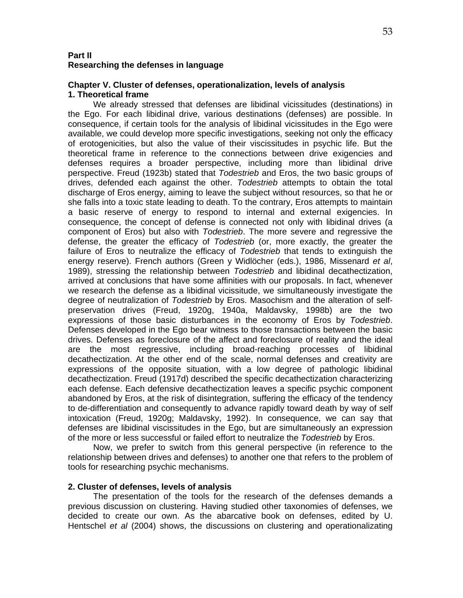### **Part II Researching the defenses in language**

#### **Chapter V. Cluster of defenses, operationalization, levels of analysis 1. Theoretical frame**

 We already stressed that defenses are libidinal vicissitudes (destinations) in the Ego. For each libidinal drive, various destinations (defenses) are possible. In consequence, if certain tools for the analysis of libidinal vicissitudes in the Ego were available, we could develop more specific investigations, seeking not only the efficacy of erotogenicities, but also the value of their viscissitudes in psychic life. But the theoretical frame in reference to the connections between drive exigencies and defenses requires a broader perspective, including more than libidinal drive perspective. Freud (1923b) stated that *Todestrieb* and Eros, the two basic groups of drives, defended each against the other. *Todestrieb* attempts to obtain the total discharge of Eros energy, aiming to leave the subject without resources, so that he or she falls into a toxic state leading to death. To the contrary, Eros attempts to maintain a basic reserve of energy to respond to internal and external exigencies. In consequence, the concept of defense is connected not only with libidinal drives (a component of Eros) but also with *Todestrieb*. The more severe and regressive the defense, the greater the efficacy of *Todestrieb* (or, more exactly, the greater the failure of Eros to neutralize the efficacy of *Todestrieb* that tends to extinguish the energy reserve). French authors (Green y Widlöcher (eds.), 1986, Missenard *et al*, 1989), stressing the relationship between *Todestrieb* and libidinal decathectization, arrived at conclusions that have some affinities with our proposals. In fact, whenever we research the defense as a libidinal vicissitude, we simultaneously investigate the degree of neutralization of *Todestrieb* by Eros. Masochism and the alteration of selfpreservation drives (Freud, 1920g, 1940a, Maldavsky, 1998b) are the two expressions of those basic disturbances in the economy of Eros by *Todestrieb*. Defenses developed in the Ego bear witness to those transactions between the basic drives. Defenses as foreclosure of the affect and foreclosure of reality and the ideal are the most regressive, including broad-reaching processes of libidinal decathectization. At the other end of the scale, normal defenses and creativity are expressions of the opposite situation, with a low degree of pathologic libidinal decathectization. Freud (1917d) described the specific decathectization characterizing each defense. Each defensive decathectization leaves a specific psychic component abandoned by Eros, at the risk of disintegration, suffering the efficacy of the tendency to de-differentiation and consequently to advance rapidly toward death by way of self intoxication (Freud, 1920g; Maldavsky, 1992). In consequence, we can say that defenses are libidinal viscissitudes in the Ego, but are simultaneously an expression of the more or less successful or failed effort to neutralize the *Todestrieb* by Eros.

 Now, we prefer to switch from this general perspective (in reference to the relationship between drives and defenses) to another one that refers to the problem of tools for researching psychic mechanisms.

#### **2. Cluster of defenses, levels of analysis**

The presentation of the tools for the research of the defenses demands a previous discussion on clustering. Having studied other taxonomies of defenses, we decided to create our own. As the abarcative book on defenses, edited by U. Hentschel *et al* (2004) shows, the discussions on clustering and operationalizating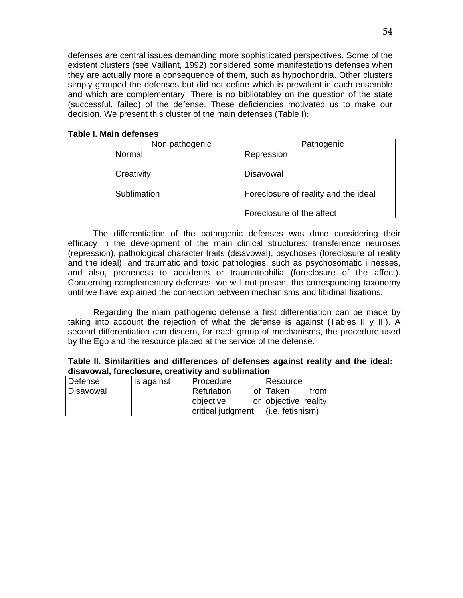defenses are central issues demanding more sophisticated perspectives. Some of the existent clusters (see Vaillant, 1992) considered some manifestations defenses when they are actually more a consequence of them, such as hypochondria. Other clusters simply grouped the defenses but did not define which is prevalent in each ensemble and which are complementary. There is no bibliotabley on the question of the state (successful, failed) of the defense. These deficiencies motivated us to make our decision. We present this cluster of the main defenses (Table I):

## **Table I. Main defenses**

| Non pathogenic | Pathogenic                           |
|----------------|--------------------------------------|
| Normal         | Repression                           |
|                |                                      |
| Creativity     | Disavowal                            |
|                |                                      |
| Sublimation    | Foreclosure of reality and the ideal |
|                |                                      |
|                | Foreclosure of the affect            |

The differentiation of the pathogenic defenses was done considering their efficacy in the development of the main clinical structures: transference neuroses (repression), pathological character traits (disavowal), psychoses (foreclosure of reality and the ideal), and traumatic and toxic pathologies, such as psychosomatic illnesses, and also, proneness to accidents or traumatophilia (foreclosure of the affect). Concerning complementary defenses, we will not present the corresponding taxonomy until we have explained the connection between mechanisms and libidinal fixations.

Regarding the main pathogenic defense a first differentiation can be made by taking into account the rejection of what the defense is against (Tables II y III). A second differentiation can discern, for each group of mechanisms, the procedure used by the Ego and the resource placed at the service of the defense.

|           | WIUM I UTUMII TUTUU VIUUNTU UTUMITTI VITU UMMIIITIMITUTI |                   |  |                      |      |  |  |  |  |
|-----------|----------------------------------------------------------|-------------------|--|----------------------|------|--|--|--|--|
| Defense   | Is against                                               | Procedure         |  | Resource             |      |  |  |  |  |
| Disavowal |                                                          | <b>Refutation</b> |  | of I Taken           | from |  |  |  |  |
|           |                                                          | objective         |  | or objective reality |      |  |  |  |  |
|           |                                                          | critical judgment |  | $(i.e.$ fetishism)   |      |  |  |  |  |

**Table II. Similarities and differences of defenses against reality and the ideal: disavowal, foreclosure, creativity and sublimation**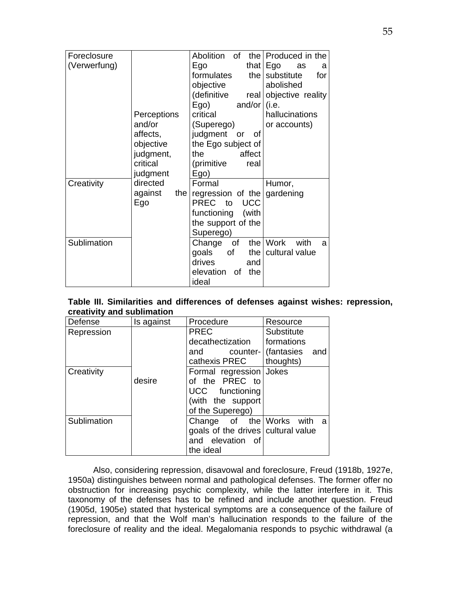|              |                | Abolition of           | the Produced in the      |
|--------------|----------------|------------------------|--------------------------|
| Foreclosure  |                |                        |                          |
| (Verwerfung) |                | Ego                    | that $Ego$<br>as<br>a    |
|              |                | formulates<br>the      | substitute<br>for        |
|              |                | objective              | abolished                |
|              |                | (definitive<br>real    | objective reality        |
|              |                | Ego)<br>and/or $(i.e.$ |                          |
|              | Perceptions    | critical               | hallucinations           |
|              | and/or         | (Superego)             | or accounts)             |
|              | affects,       | judgment or<br>of      |                          |
|              | objective      | the Ego subject of     |                          |
|              | judgment,      | affect<br>the          |                          |
|              | critical       | (primitive<br>real     |                          |
|              | judgment       | Ego)                   |                          |
| Creativity   | directed       | Formal                 | Humor,                   |
|              | against<br>the | regression of the      | gardening                |
|              | Ego            | PREC to<br><b>UCC</b>  |                          |
|              |                | functioning (with      |                          |
|              |                | the support of the     |                          |
|              |                | Superego)              |                          |
| Sublimation  |                | Change of              | with<br>the $ Work$<br>a |
|              |                | goals<br>of<br>the     | cultural value           |
|              |                | drives<br>and          |                          |
|              |                | elevation of<br>the    |                          |
|              |                | ideal                  |                          |

| Table III. Similarities and differences of defenses against wishes: repression, |  |  |  |  |
|---------------------------------------------------------------------------------|--|--|--|--|
| creativity and sublimation                                                      |  |  |  |  |

| Defense     | Is against | Procedure                          | Resource                   |  |  |
|-------------|------------|------------------------------------|----------------------------|--|--|
| Repression  |            | <b>PREC</b>                        | Substitute                 |  |  |
|             |            | decathectization                   | formations                 |  |  |
|             |            | and                                | counter- (fantasies<br>and |  |  |
|             |            | cathexis PREC                      | thoughts)                  |  |  |
| Creativity  |            | Formal regression   Jokes          |                            |  |  |
|             | desire     | of the PREC to                     |                            |  |  |
|             |            | UCC functioning                    |                            |  |  |
|             |            | (with the support                  |                            |  |  |
|             |            | of the Superego)                   |                            |  |  |
| Sublimation |            | Change of the Works with a         |                            |  |  |
|             |            | goals of the drives cultural value |                            |  |  |
|             |            | and elevation of                   |                            |  |  |
|             |            | the ideal                          |                            |  |  |

Also, considering repression, disavowal and foreclosure, Freud (1918b, 1927e, 1950a) distinguishes between normal and pathological defenses. The former offer no obstruction for increasing psychic complexity, while the latter interfere in it. This taxonomy of the defenses has to be refined and include another question. Freud (1905d, 1905e) stated that hysterical symptoms are a consequence of the failure of repression, and that the Wolf man's hallucination responds to the failure of the foreclosure of reality and the ideal. Megalomania responds to psychic withdrawal (a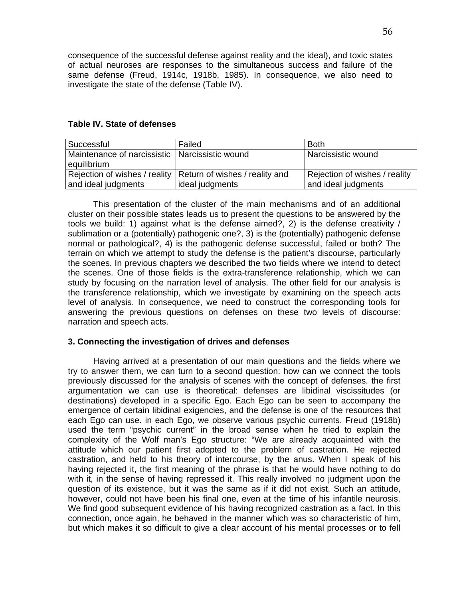consequence of the successful defense against reality and the ideal), and toxic states of actual neuroses are responses to the simultaneous success and failure of the same defense (Freud, 1914c, 1918b, 1985). In consequence, we also need to investigate the state of the defense (Table IV).

### **Table IV. State of defenses**

| Successful                                                      | Failed                                                         | <b>Both</b>                   |
|-----------------------------------------------------------------|----------------------------------------------------------------|-------------------------------|
| Maintenance of narcissistic   Narcissistic wound<br>equilibrium |                                                                | Narcissistic wound            |
|                                                                 | Rejection of wishes / reality   Return of wishes / reality and | Rejection of wishes / reality |
| and ideal judgments                                             | ideal judgments                                                | and ideal judgments           |

This presentation of the cluster of the main mechanisms and of an additional cluster on their possible states leads us to present the questions to be answered by the tools we build: 1) against what is the defense aimed?, 2) is the defense creativity / sublimation or a (potentially) pathogenic one?, 3) is the (potentially) pathogenic defense normal or pathological?, 4) is the pathogenic defense successful, failed or both? The terrain on which we attempt to study the defense is the patient's discourse, particularly the scenes. In previous chapters we described the two fields where we intend to detect the scenes. One of those fields is the extra-transference relationship, which we can study by focusing on the narration level of analysis. The other field for our analysis is the transference relationship, which we investigate by examining on the speech acts level of analysis. In consequence, we need to construct the corresponding tools for answering the previous questions on defenses on these two levels of discourse: narration and speech acts.

# **3. Connecting the investigation of drives and defenses**

Having arrived at a presentation of our main questions and the fields where we try to answer them, we can turn to a second question: how can we connect the tools previously discussed for the analysis of scenes with the concept of defenses. the first argumentation we can use is theoretical: defenses are libidinal viscissitudes (or destinations) developed in a specific Ego. Each Ego can be seen to accompany the emergence of certain libidinal exigencies, and the defense is one of the resources that each Ego can use. in each Ego, we observe various psychic currents. Freud (1918b) used the term "psychic current" in the broad sense when he tried to explain the complexity of the Wolf man's Ego structure: "We are already acquainted with the attitude which our patient first adopted to the problem of castration. He rejected castration, and held to his theory of intercourse, by the anus. When I speak of his having rejected it, the first meaning of the phrase is that he would have nothing to do with it, in the sense of having repressed it. This really involved no judgment upon the question of its existence, but it was the same as if it did not exist. Such an attitude, however, could not have been his final one, even at the time of his infantile neurosis. We find good subsequent evidence of his having recognized castration as a fact. In this connection, once again, he behaved in the manner which was so characteristic of him, but which makes it so difficult to give a clear account of his mental processes or to fell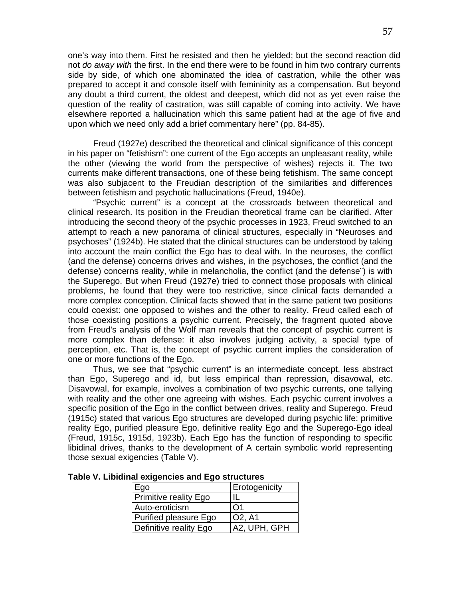one's way into them. First he resisted and then he yielded; but the second reaction did not *do away with* the first. In the end there were to be found in him two contrary currents side by side, of which one abominated the idea of castration, while the other was prepared to accept it and console itself with femininity as a compensation. But beyond any doubt a third current, the oldest and deepest, which did not as yet even raise the question of the reality of castration, was still capable of coming into activity. We have elsewhere reported a hallucination which this same patient had at the age of five and upon which we need only add a brief commentary here" (pp. 84-85).

Freud (1927e) described the theoretical and clinical significance of this concept in his paper on "fetishism": one current of the Ego accepts an unpleasant reality, while the other (viewing the world from the perspective of wishes) rejects it. The two currents make different transactions, one of these being fetishism. The same concept was also subjacent to the Freudian description of the similarities and differences between fetishism and psychotic hallucinations (Freud, 1940e).

"Psychic current" is a concept at the crossroads between theoretical and clinical research. Its position in the Freudian theoretical frame can be clarified. After introducing the second theory of the psychic processes in 1923, Freud switched to an attempt to reach a new panorama of clinical structures, especially in "Neuroses and psychoses" (1924b). He stated that the clinical structures can be understood by taking into account the main conflict the Ego has to deal with. In the neuroses, the conflict (and the defense) concerns drives and wishes, in the psychoses, the conflict (and the defense) concerns reality, while in melancholia, the conflict (and the defense¨) is with the Superego. But when Freud (1927e) tried to connect those proposals with clinical problems, he found that they were too restrictive, since clinical facts demanded a more complex conception. Clinical facts showed that in the same patient two positions could coexist: one opposed to wishes and the other to reality. Freud called each of those coexisting positions a psychic current. Precisely, the fragment quoted above from Freud's analysis of the Wolf man reveals that the concept of psychic current is more complex than defense: it also involves judging activity, a special type of perception, etc. That is, the concept of psychic current implies the consideration of one or more functions of the Ego.

Thus, we see that "psychic current" is an intermediate concept, less abstract than Ego, Superego and id, but less empirical than repression, disavowal, etc. Disavowal, for example, involves a combination of two psychic currents, one tallying with reality and the other one agreeing with wishes. Each psychic current involves a specific position of the Ego in the conflict between drives, reality and Superego. Freud (1915c) stated that various Ego structures are developed during psychic life: primitive reality Ego, purified pleasure Ego, definitive reality Ego and the Superego-Ego ideal (Freud, 1915c, 1915d, 1923b). Each Ego has the function of responding to specific libidinal drives, thanks to the development of A certain symbolic world representing those sexual exigencies (Table V).

| Ego                          | <b>Erotogenicity</b> |
|------------------------------|----------------------|
| <b>Primitive reality Ego</b> | $\mathbf{I}$         |
| Auto-eroticism               | $\Omega$ 1           |
| Purified pleasure Ego        | <b>O2, A1</b>        |
| Definitive reality Ego       | A2, UPH, GPH         |

**Table V. Libidinal exigencies and Ego structures**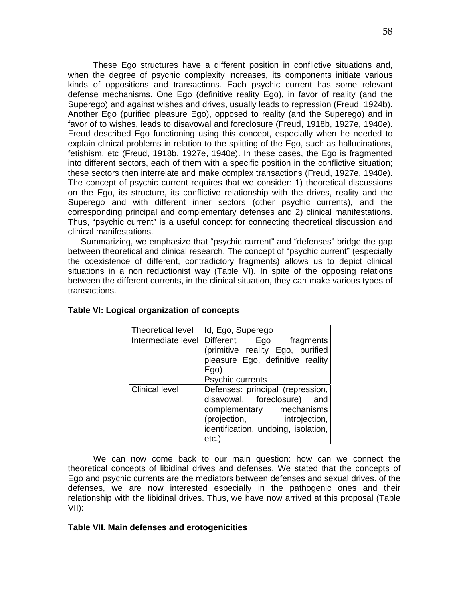These Ego structures have a different position in conflictive situations and, when the degree of psychic complexity increases, its components initiate various kinds of oppositions and transactions. Each psychic current has some relevant defense mechanisms. One Ego (definitive reality Ego), in favor of reality (and the Superego) and against wishes and drives, usually leads to repression (Freud, 1924b). Another Ego (purified pleasure Ego), opposed to reality (and the Superego) and in favor of to wishes, leads to disavowal and foreclosure (Freud, 1918b, 1927e, 1940e). Freud described Ego functioning using this concept, especially when he needed to explain clinical problems in relation to the splitting of the Ego, such as hallucinations, fetishism, etc (Freud, 1918b, 1927e, 1940e). In these cases, the Ego is fragmented into different sectors, each of them with a specific position in the conflictive situation; these sectors then interrelate and make complex transactions (Freud, 1927e, 1940e). The concept of psychic current requires that we consider: 1) theoretical discussions on the Ego, its structure, its conflictive relationship with the drives, reality and the Superego and with different inner sectors (other psychic currents), and the corresponding principal and complementary defenses and 2) clinical manifestations. Thus, "psychic current" is a useful concept for connecting theoretical discussion and clinical manifestations.

Summarizing, we emphasize that "psychic current" and "defenses" bridge the gap between theoretical and clinical research. The concept of "psychic current" (especially the coexistence of different, contradictory fragments) allows us to depict clinical situations in a non reductionist way (Table VI). In spite of the opposing relations between the different currents, in the clinical situation, they can make various types of transactions.

| Theoretical level     | Id, Ego, Superego                          |
|-----------------------|--------------------------------------------|
|                       | Intermediate level Different Ego fragments |
|                       | (primitive reality Ego, purified           |
|                       | pleasure Ego, definitive reality           |
|                       | Ego)                                       |
|                       | Psychic currents                           |
| <b>Clinical level</b> | Defenses: principal (repression,           |
|                       | disavowal, foreclosure) and                |
|                       | complementary mechanisms                   |
|                       | (projection, introjection,                 |
|                       | identification, undoing, isolation,        |
|                       | etc.)                                      |

#### **Table VI: Logical organization of concepts**

We can now come back to our main question: how can we connect the theoretical concepts of libidinal drives and defenses. We stated that the concepts of Ego and psychic currents are the mediators between defenses and sexual drives. of the defenses, we are now interested especially in the pathogenic ones and their relationship with the libidinal drives. Thus, we have now arrived at this proposal (Table VII):

#### **Table VII. Main defenses and erotogenicities**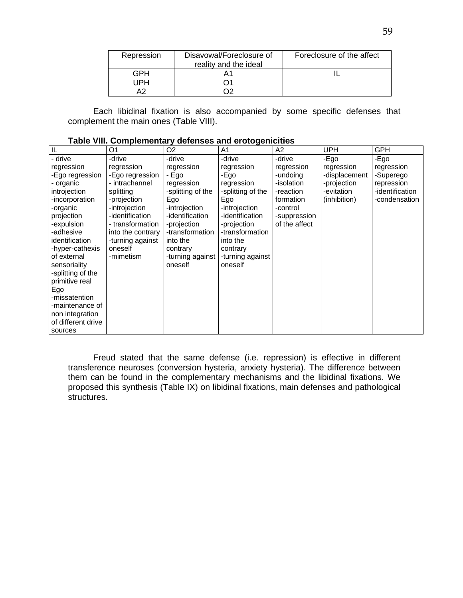| Repression | Disavowal/Foreclosure of<br>reality and the ideal | Foreclosure of the affect |
|------------|---------------------------------------------------|---------------------------|
| GPH        |                                                   |                           |
| IPH        |                                                   |                           |
| ∧າ         |                                                   |                           |

Each libidinal fixation is also accompanied by some specific defenses that complement the main ones (Table VIII).

| IL                             | O <sub>1</sub>              | O <sub>2</sub>               | A <sub>1</sub>               | A2            | <b>UPH</b>    | <b>GPH</b>      |
|--------------------------------|-----------------------------|------------------------------|------------------------------|---------------|---------------|-----------------|
| - drive                        | -drive                      | -drive                       | -drive                       | -drive        | -Ego          | -Ego            |
| regression                     | regression                  | regression                   | regression                   | regression    | regression    | regression      |
| -Ego regression                | -Ego regression             | - Ego                        | -Ego                         | -undoing      | -displacement | -Superego       |
| - organic                      | - intrachannel              | regression                   | regression                   | -isolation    | -projection   | repression      |
| introjection                   | splitting                   | -splitting of the            | -splitting of the            | -reaction     | -evitation    | -identification |
| -incorporation                 | -projection                 | Ego                          | Ego                          | formation     | (inhibition)  | -condensation   |
| -organic                       | -introjection               | -introjection                | -introjection                | -control      |               |                 |
| projection                     | -identification             | -identification              | -identification              | -suppression  |               |                 |
| -expulsion                     | - transformation            | -projection                  | -projection                  | of the affect |               |                 |
| -adhesive                      | into the contrary           | -transformation              | -transformation              |               |               |                 |
| identification                 | -turning against<br>oneself | into the                     | into the                     |               |               |                 |
| -hyper-cathexis<br>of external | -mimetism                   | contrary<br>-turning against | contrary<br>-turning against |               |               |                 |
| sensoriality                   |                             | oneself                      | oneself                      |               |               |                 |
| -splitting of the              |                             |                              |                              |               |               |                 |
| primitive real                 |                             |                              |                              |               |               |                 |
| Ego                            |                             |                              |                              |               |               |                 |
| -missatention                  |                             |                              |                              |               |               |                 |
| -maintenance of                |                             |                              |                              |               |               |                 |
| non integration                |                             |                              |                              |               |               |                 |
| of different drive             |                             |                              |                              |               |               |                 |
| sources                        |                             |                              |                              |               |               |                 |

|  | Table VIII. Complementary defenses and erotogenicities |
|--|--------------------------------------------------------|
|  |                                                        |

Freud stated that the same defense (i.e. repression) is effective in different transference neuroses (conversion hysteria, anxiety hysteria). The difference between them can be found in the complementary mechanisms and the libidinal fixations. We proposed this synthesis (Table IX) on libidinal fixations, main defenses and pathological structures.